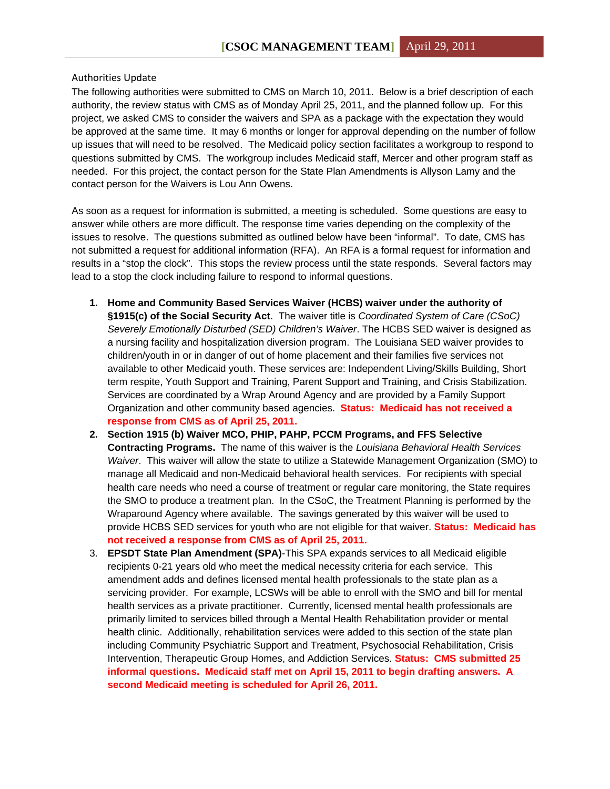## Authorities Update

The following authorities were submitted to CMS on March 10, 2011. Below is a brief description of each authority, the review status with CMS as of Monday April 25, 2011, and the planned follow up. For this project, we asked CMS to consider the waivers and SPA as a package with the expectation they would be approved at the same time. It may 6 months or longer for approval depending on the number of follow up issues that will need to be resolved. The Medicaid policy section facilitates a workgroup to respond to questions submitted by CMS. The workgroup includes Medicaid staff, Mercer and other program staff as needed. For this project, the contact person for the State Plan Amendments is Allyson Lamy and the contact person for the Waivers is Lou Ann Owens.

As soon as a request for information is submitted, a meeting is scheduled. Some questions are easy to answer while others are more difficult. The response time varies depending on the complexity of the issues to resolve. The questions submitted as outlined below have been "informal". To date, CMS has not submitted a request for additional information (RFA). An RFA is a formal request for information and results in a "stop the clock". This stops the review process until the state responds. Several factors may lead to a stop the clock including failure to respond to informal questions.

- **1. Home and Community Based Services Waiver (HCBS) waiver under the authority of §1915(c) of the Social Security Act**. The waiver title is *Coordinated System of Care (CSoC) Severely Emotionally Disturbed (SED) Children's Waiver*. The HCBS SED waiver is designed as a nursing facility and hospitalization diversion program. The Louisiana SED waiver provides to children/youth in or in danger of out of home placement and their families five services not available to other Medicaid youth. These services are: Independent Living/Skills Building, Short term respite, Youth Support and Training, Parent Support and Training, and Crisis Stabilization. Services are coordinated by a Wrap Around Agency and are provided by a Family Support Organization and other community based agencies. **Status: Medicaid has not received a response from CMS as of April 25, 2011.**
- **2. Section 1915 (b) Waiver MCO, PHIP, PAHP, PCCM Programs, and FFS Selective Contracting Programs.** The name of this waiver is the *Louisiana Behavioral Health Services Waiver*. This waiver will allow the state to utilize a Statewide Management Organization (SMO) to manage all Medicaid and non-Medicaid behavioral health services. For recipients with special health care needs who need a course of treatment or regular care monitoring, the State requires the SMO to produce a treatment plan. In the CSoC, the Treatment Planning is performed by the Wraparound Agency where available. The savings generated by this waiver will be used to provide HCBS SED services for youth who are not eligible for that waiver. **Status: Medicaid has not received a response from CMS as of April 25, 2011.**
- 3. **EPSDT State Plan Amendment (SPA)**-This SPA expands services to all Medicaid eligible recipients 0-21 years old who meet the medical necessity criteria for each service. This amendment adds and defines licensed mental health professionals to the state plan as a servicing provider. For example, LCSWs will be able to enroll with the SMO and bill for mental health services as a private practitioner. Currently, licensed mental health professionals are primarily limited to services billed through a Mental Health Rehabilitation provider or mental health clinic. Additionally, rehabilitation services were added to this section of the state plan including Community Psychiatric Support and Treatment, Psychosocial Rehabilitation, Crisis Intervention, Therapeutic Group Homes, and Addiction Services. **Status: CMS submitted 25 informal questions. Medicaid staff met on April 15, 2011 to begin drafting answers. A second Medicaid meeting is scheduled for April 26, 2011.**